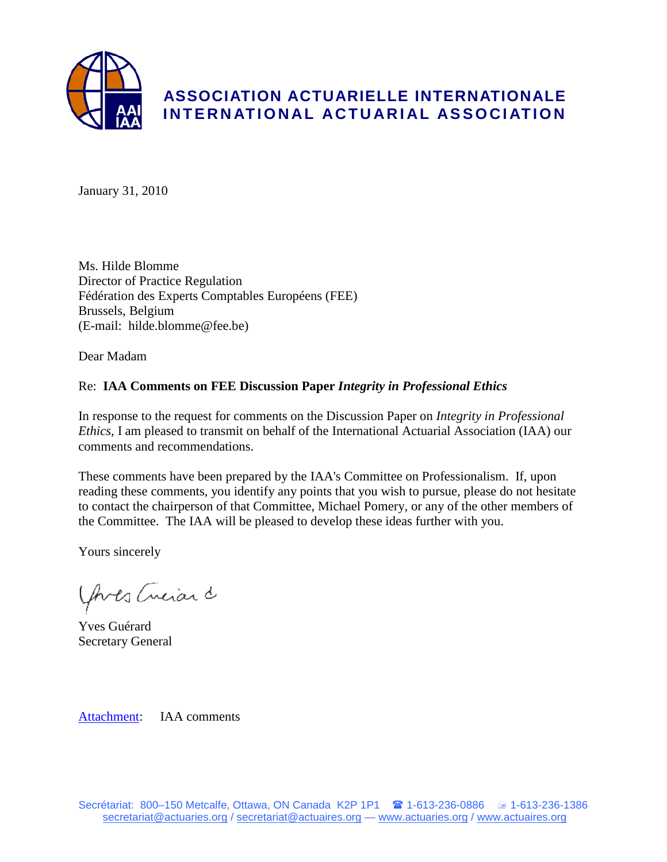

January 31, 2010

Ms. Hilde Blomme Director of Practice Regulation Fédération des Experts Comptables Européens (FEE) Brussels, Belgium (E-mail: hilde.blomme@fee.be)

Dear Madam

# Re: **IAA Comments on FEE Discussion Paper** *Integrity in Professional Ethics*

In response to the request for comments on the Discussion Paper on *Integrity in Professional Ethics*, I am pleased to transmit on behalf of the International Actuarial Association (IAA) our comments and recommendations.

These comments have been prepared by the IAA's Committee on Professionalism. If, upon reading these comments, you identify any points that you wish to pursue, please do not hesitate to contact the chairperson of that Committee, Michael Pomery, or any of the other members of the Committee. The IAA will be pleased to develop these ideas further with you.

Yours sincerely

Yours Creiard

Yves Guérard Secretary General

[Attachment:](#page-1-0) IAA comments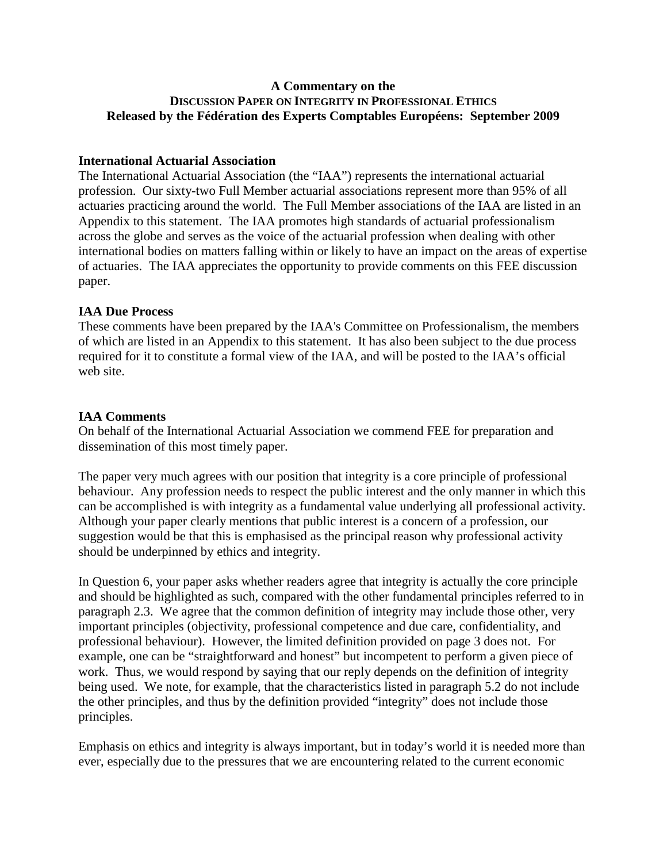## <span id="page-1-0"></span>**A Commentary on the DISCUSSION PAPER ON INTEGRITY IN PROFESSIONAL ETHICS Released by the Fédération des Experts Comptables Européens: September 2009**

## **International Actuarial Association**

The International Actuarial Association (the "IAA") represents the international actuarial profession. Our sixty-two Full Member actuarial associations represent more than 95% of all actuaries practicing around the world. The Full Member associations of the IAA are listed in an Appendix to this statement. The IAA promotes high standards of actuarial professionalism across the globe and serves as the voice of the actuarial profession when dealing with other international bodies on matters falling within or likely to have an impact on the areas of expertise of actuaries. The IAA appreciates the opportunity to provide comments on this FEE discussion paper.

## **IAA Due Process**

These comments have been prepared by the IAA's Committee on Professionalism, the members of which are listed in an Appendix to this statement. It has also been subject to the due process required for it to constitute a formal view of the IAA, and will be posted to the IAA's official web site.

## **IAA Comments**

On behalf of the International Actuarial Association we commend FEE for preparation and dissemination of this most timely paper.

The paper very much agrees with our position that integrity is a core principle of professional behaviour. Any profession needs to respect the public interest and the only manner in which this can be accomplished is with integrity as a fundamental value underlying all professional activity. Although your paper clearly mentions that public interest is a concern of a profession, our suggestion would be that this is emphasised as the principal reason why professional activity should be underpinned by ethics and integrity.

In Question 6, your paper asks whether readers agree that integrity is actually the core principle and should be highlighted as such, compared with the other fundamental principles referred to in paragraph 2.3. We agree that the common definition of integrity may include those other, very important principles (objectivity, professional competence and due care, confidentiality, and professional behaviour). However, the limited definition provided on page 3 does not. For example, one can be "straightforward and honest" but incompetent to perform a given piece of work. Thus, we would respond by saying that our reply depends on the definition of integrity being used. We note, for example, that the characteristics listed in paragraph 5.2 do not include the other principles, and thus by the definition provided "integrity" does not include those principles.

Emphasis on ethics and integrity is always important, but in today's world it is needed more than ever, especially due to the pressures that we are encountering related to the current economic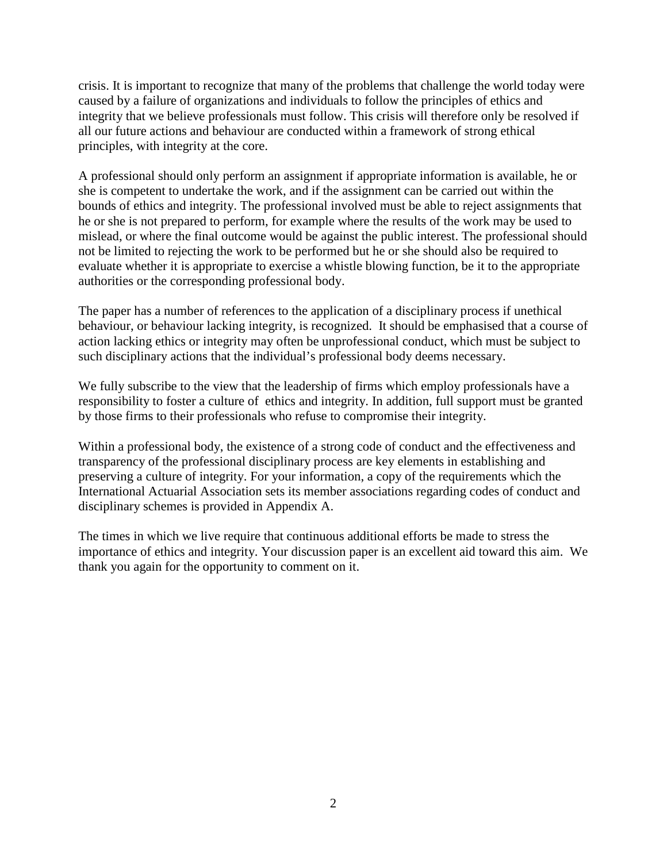crisis. It is important to recognize that many of the problems that challenge the world today were caused by a failure of organizations and individuals to follow the principles of ethics and integrity that we believe professionals must follow. This crisis will therefore only be resolved if all our future actions and behaviour are conducted within a framework of strong ethical principles, with integrity at the core.

A professional should only perform an assignment if appropriate information is available, he or she is competent to undertake the work, and if the assignment can be carried out within the bounds of ethics and integrity. The professional involved must be able to reject assignments that he or she is not prepared to perform, for example where the results of the work may be used to mislead, or where the final outcome would be against the public interest. The professional should not be limited to rejecting the work to be performed but he or she should also be required to evaluate whether it is appropriate to exercise a whistle blowing function, be it to the appropriate authorities or the corresponding professional body.

The paper has a number of references to the application of a disciplinary process if unethical behaviour, or behaviour lacking integrity, is recognized. It should be emphasised that a course of action lacking ethics or integrity may often be unprofessional conduct, which must be subject to such disciplinary actions that the individual's professional body deems necessary.

We fully subscribe to the view that the leadership of firms which employ professionals have a responsibility to foster a culture of ethics and integrity. In addition, full support must be granted by those firms to their professionals who refuse to compromise their integrity.

Within a professional body, the existence of a strong code of conduct and the effectiveness and transparency of the professional disciplinary process are key elements in establishing and preserving a culture of integrity. For your information, a copy of the requirements which the International Actuarial Association sets its member associations regarding codes of conduct and disciplinary schemes is provided in Appendix A.

The times in which we live require that continuous additional efforts be made to stress the importance of ethics and integrity. Your discussion paper is an excellent aid toward this aim. We thank you again for the opportunity to comment on it.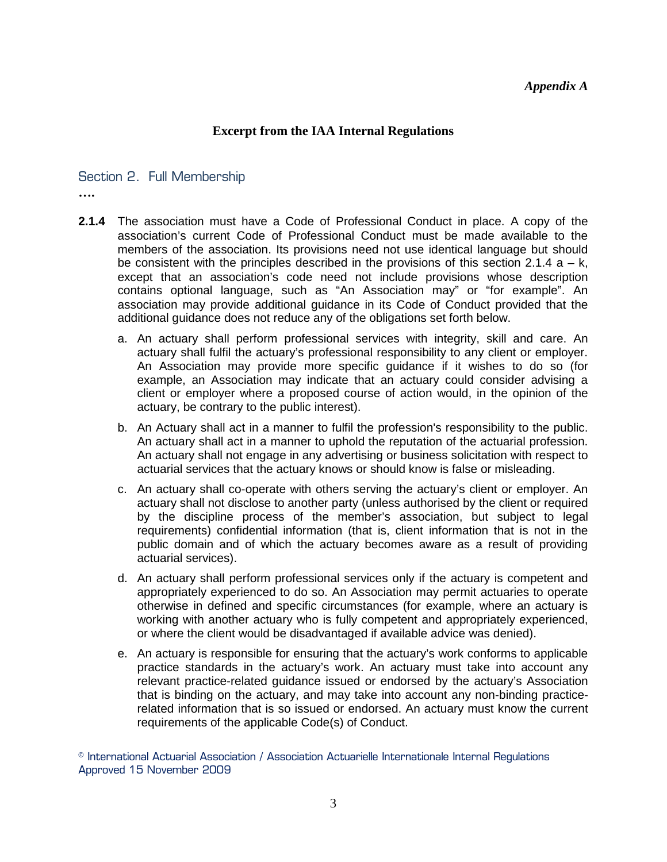#### *Appendix A*

### **Excerpt from the IAA Internal Regulations**

#### Section 2. Full Membership

**….**

- **2.1.4** The association must have a Code of Professional Conduct in place. A copy of the association's current Code of Professional Conduct must be made available to the members of the association. Its provisions need not use identical language but should be consistent with the principles described in the provisions of this section 2.1.4  $a - k$ , except that an association's code need not include provisions whose description contains optional language, such as "An Association may" or "for example". An association may provide additional guidance in its Code of Conduct provided that the additional guidance does not reduce any of the obligations set forth below.
	- a. An actuary shall perform professional services with integrity, skill and care. An actuary shall fulfil the actuary's professional responsibility to any client or employer. An Association may provide more specific guidance if it wishes to do so (for example, an Association may indicate that an actuary could consider advising a client or employer where a proposed course of action would, in the opinion of the actuary, be contrary to the public interest).
	- b. An Actuary shall act in a manner to fulfil the profession's responsibility to the public. An actuary shall act in a manner to uphold the reputation of the actuarial profession. An actuary shall not engage in any advertising or business solicitation with respect to actuarial services that the actuary knows or should know is false or misleading.
	- c. An actuary shall co-operate with others serving the actuary's client or employer. An actuary shall not disclose to another party (unless authorised by the client or required by the discipline process of the member's association, but subject to legal requirements) confidential information (that is, client information that is not in the public domain and of which the actuary becomes aware as a result of providing actuarial services).
	- d. An actuary shall perform professional services only if the actuary is competent and appropriately experienced to do so. An Association may permit actuaries to operate otherwise in defined and specific circumstances (for example, where an actuary is working with another actuary who is fully competent and appropriately experienced, or where the client would be disadvantaged if available advice was denied).
	- e. An actuary is responsible for ensuring that the actuary's work conforms to applicable practice standards in the actuary's work. An actuary must take into account any relevant practice-related guidance issued or endorsed by the actuary's Association that is binding on the actuary, and may take into account any non-binding practicerelated information that is so issued or endorsed. An actuary must know the current requirements of the applicable Code(s) of Conduct.

© International Actuarial Association / Association Actuarielle Internationale Internal Regulations Approved 15 November 2009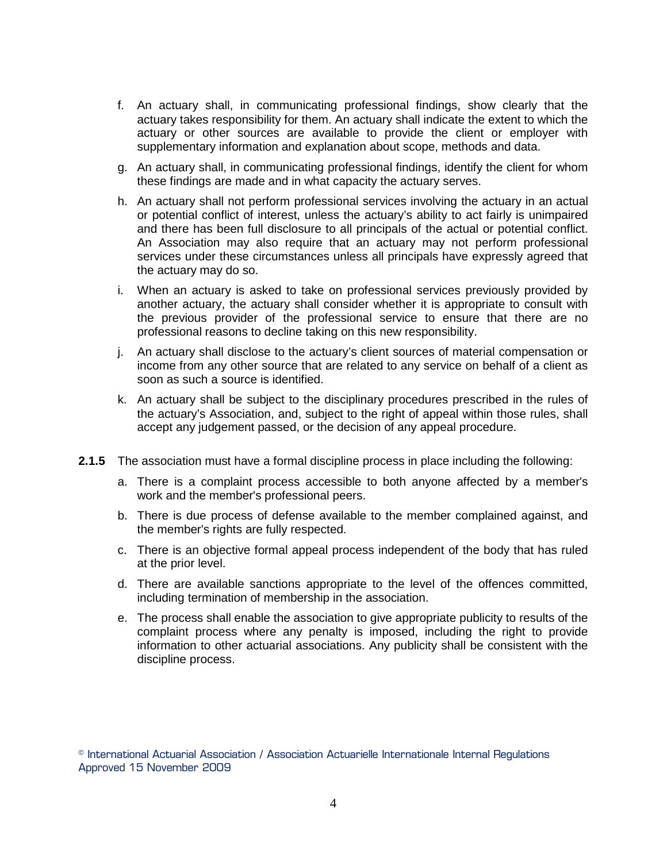- f. An actuary shall, in communicating professional findings, show clearly that the actuary takes responsibility for them. An actuary shall indicate the extent to which the actuary or other sources are available to provide the client or employer with supplementary information and explanation about scope, methods and data.
- g. An actuary shall, in communicating professional findings, identify the client for whom these findings are made and in what capacity the actuary serves.
- h. An actuary shall not perform professional services involving the actuary in an actual or potential conflict of interest, unless the actuary's ability to act fairly is unimpaired and there has been full disclosure to all principals of the actual or potential conflict. An Association may also require that an actuary may not perform professional services under these circumstances unless all principals have expressly agreed that the actuary may do so.
- i. When an actuary is asked to take on professional services previously provided by another actuary, the actuary shall consider whether it is appropriate to consult with the previous provider of the professional service to ensure that there are no professional reasons to decline taking on this new responsibility.
- j. An actuary shall disclose to the actuary's client sources of material compensation or income from any other source that are related to any service on behalf of a client as soon as such a source is identified.
- k. An actuary shall be subject to the disciplinary procedures prescribed in the rules of the actuary's Association, and, subject to the right of appeal within those rules, shall accept any judgement passed, or the decision of any appeal procedure.
- **2.1.5** The association must have a formal discipline process in place including the following:
	- a. There is a complaint process accessible to both anyone affected by a member's work and the member's professional peers.
	- b. There is due process of defense available to the member complained against, and the member's rights are fully respected.
	- c. There is an objective formal appeal process independent of the body that has ruled at the prior level.
	- d. There are available sanctions appropriate to the level of the offences committed, including termination of membership in the association.
	- e. The process shall enable the association to give appropriate publicity to results of the complaint process where any penalty is imposed, including the right to provide information to other actuarial associations. Any publicity shall be consistent with the discipline process.

<sup>©</sup> International Actuarial Association / Association Actuarielle Internationale Internal Regulations Approved 15 November 2009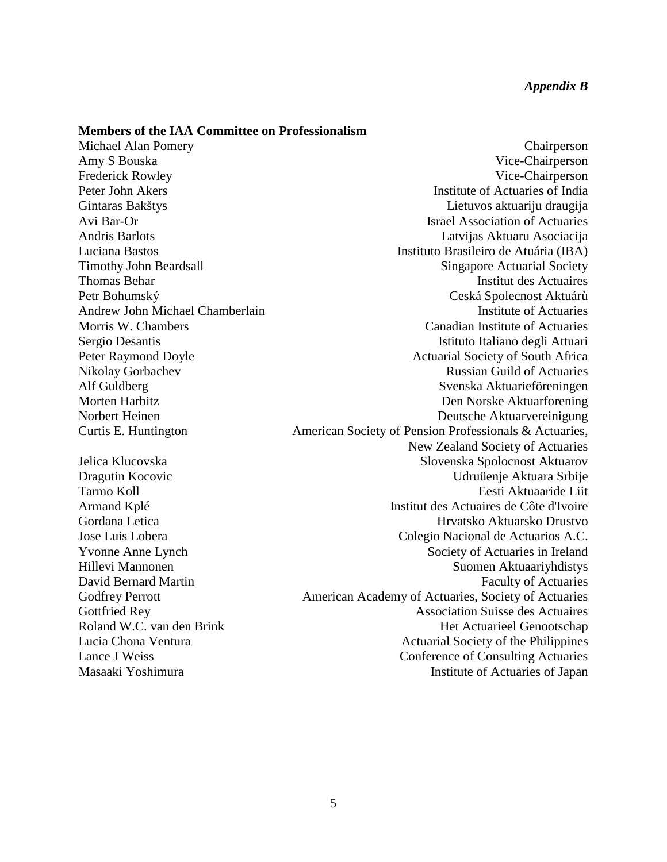#### **Members of the IAA Committee on Professionalism**

Michael Alan Pomery **Chairperson** Amy S Bouska Vice-Chairperson Frederick Rowley Vice-Chairperson Peter John Akers Institute of Actuaries of India Gintaras Bakštys Lietuvos aktuariju draugija Avi Bar-Or Israel Association of Actuaries Andris Barlots Latvijas Aktuaru Asociacija Luciana Bastos Instituto Brasileiro de Atuária (IBA) Timothy John Beardsall Singapore Actuarial Society Thomas Behar Institut des Actuaires Petr Bohumský Ceská Spolecnost Aktuárù Andrew John Michael Chamberlain **Institute of Actuaries** Institute of Actuaries Morris W. Chambers Canadian Institute of Actuaries Sergio Desantis **Istituto Italiano degli Attuari** Peter Raymond Doyle **Actuarial Society of South Africa** Nikolay Gorbachev Russian Guild of Actuaries Alf Guldberg Svenska Aktuarieföreningen Morten Harbitz Den Norske Aktuarforening Norbert Heinen aus der Einen der Einen anderen Beutsche Aktuarvereinigung Deutsche Aktuarvereinigung Curtis E. Huntington **American Society of Pension Professionals & Actuaries,** New Zealand Society of Actuaries Jelica Klucovska Spolocnost Aktuarov Dragutin Kocovic Udruüenje Aktuara Srbije Tarmo Koll Eesti Aktuaaride Liit Armand Kplé Institut des Actuaires de Côte d'Ivoire Gordana Letica Hrvatsko Aktuarsko Drustvo Jose Luis Lobera Colegio Nacional de Actuarios A.C. Yvonne Anne Lynch Society of Actuaries in Ireland Hillevi Mannonen Suomen Aktuaariyhdistys David Bernard Martin Faculty of Actuaries Godfrey Perrott **American Academy of Actuaries**, Society of Actuaries Gottfried Rey **Association** Suisse des Actuaires Roland W.C. van den Brink Het Actuarieel Genootschap Lucia Chona Ventura **Actuarial Society of the Philippines** Actuarial Society of the Philippines Lance J Weiss Conference of Consulting Actuaries Masaaki Yoshimura Institute of Actuaries of Japan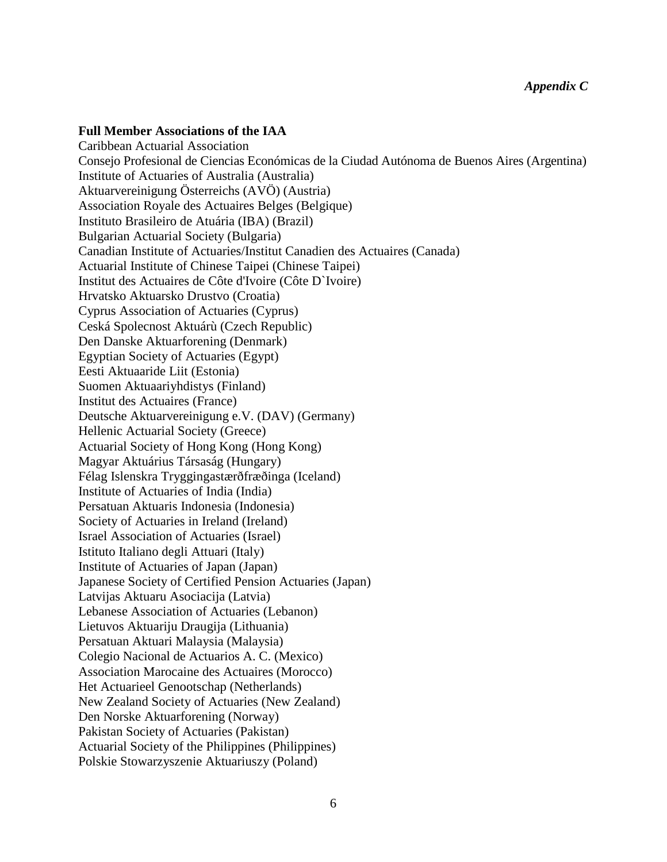## **Full Member Associations of the IAA**

Caribbean Actuarial Association Consejo Profesional de Ciencias Económicas de la Ciudad Autónoma de Buenos Aires (Argentina) Institute of Actuaries of Australia (Australia) Aktuarvereinigung Österreichs (AVÖ) (Austria) Association Royale des Actuaires Belges (Belgique) Instituto Brasileiro de Atuária (IBA) (Brazil) Bulgarian Actuarial Society (Bulgaria) Canadian Institute of Actuaries/Institut Canadien des Actuaires (Canada) Actuarial Institute of Chinese Taipei (Chinese Taipei) Institut des Actuaires de Côte d'Ivoire (Côte D`Ivoire) Hrvatsko Aktuarsko Drustvo (Croatia) Cyprus Association of Actuaries (Cyprus) Ceská Spolecnost Aktuárù (Czech Republic) Den Danske Aktuarforening (Denmark) Egyptian Society of Actuaries (Egypt) Eesti Aktuaaride Liit (Estonia) Suomen Aktuaariyhdistys (Finland) Institut des Actuaires (France) Deutsche Aktuarvereinigung e.V. (DAV) (Germany) Hellenic Actuarial Society (Greece) Actuarial Society of Hong Kong (Hong Kong) Magyar Aktuárius Társaság (Hungary) Félag Islenskra Tryggingastærðfræðinga (Iceland) Institute of Actuaries of India (India) Persatuan Aktuaris Indonesia (Indonesia) Society of Actuaries in Ireland (Ireland) Israel Association of Actuaries (Israel) Istituto Italiano degli Attuari (Italy) Institute of Actuaries of Japan (Japan) Japanese Society of Certified Pension Actuaries (Japan) Latvijas Aktuaru Asociacija (Latvia) Lebanese Association of Actuaries (Lebanon) Lietuvos Aktuariju Draugija (Lithuania) Persatuan Aktuari Malaysia (Malaysia) Colegio Nacional de Actuarios A. C. (Mexico) Association Marocaine des Actuaires (Morocco) Het Actuarieel Genootschap (Netherlands) New Zealand Society of Actuaries (New Zealand) Den Norske Aktuarforening (Norway) Pakistan Society of Actuaries (Pakistan) Actuarial Society of the Philippines (Philippines) Polskie Stowarzyszenie Aktuariuszy (Poland)